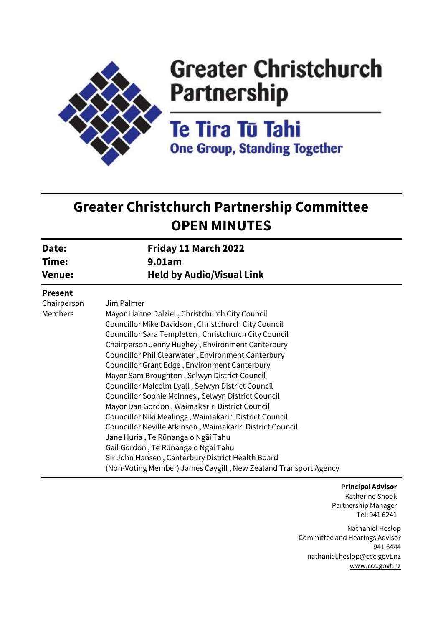

# **Greater Christchurch Partnership**

**Te Tira Tū Tahi One Group, Standing Together** 

# **Greater Christchurch Partnership Committee OPEN MINUTES**

| Friday 11 March 2022<br>9.01am                                                                                                                                                                                                                                                                                                                                                                                                                                                                                                                                                                                                                                                                                                                                                                                |
|---------------------------------------------------------------------------------------------------------------------------------------------------------------------------------------------------------------------------------------------------------------------------------------------------------------------------------------------------------------------------------------------------------------------------------------------------------------------------------------------------------------------------------------------------------------------------------------------------------------------------------------------------------------------------------------------------------------------------------------------------------------------------------------------------------------|
|                                                                                                                                                                                                                                                                                                                                                                                                                                                                                                                                                                                                                                                                                                                                                                                                               |
| Jim Palmer<br>Mayor Lianne Dalziel, Christchurch City Council<br>Councillor Mike Davidson, Christchurch City Council<br>Councillor Sara Templeton, Christchurch City Council<br>Chairperson Jenny Hughey, Environment Canterbury<br>Councillor Phil Clearwater, Environment Canterbury<br>Councillor Grant Edge, Environment Canterbury<br>Mayor Sam Broughton, Selwyn District Council<br>Councillor Malcolm Lyall, Selwyn District Council<br>Councillor Sophie McInnes, Selwyn District Council<br>Mayor Dan Gordon, Waimakariri District Council<br>Councillor Niki Mealings, Waimakariri District Council<br>Councillor Neville Atkinson, Waimakariri District Council<br>Jane Huria, Te Rūnanga o Ngāi Tahu<br>Gail Gordon, Te Rūnanga o Ngāi Tahu<br>Sir John Hansen, Canterbury District Health Board |
| (Non-Voting Member) James Caygill, New Zealand Transport Agency                                                                                                                                                                                                                                                                                                                                                                                                                                                                                                                                                                                                                                                                                                                                               |
|                                                                                                                                                                                                                                                                                                                                                                                                                                                                                                                                                                                                                                                                                                                                                                                                               |

**Principal Advisor** Katherine Snook Partnership Manager Tel: 941 6241

Nathaniel Heslop Committee and Hearings Advisor 941 6444 nathaniel.heslop@ccc.govt.nz [www.ccc.govt.nz](http://www.ccc.govt.nz/)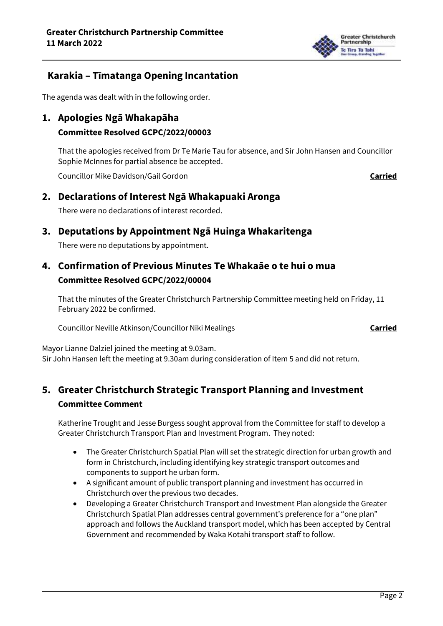

# **Karakia – Tīmatanga Opening Incantation**

The agenda was dealt with in the following order.

**1. Apologies Ngā Whakapāha** 

#### **Committee Resolved GCPC/2022/00003**

That the apologies received from Dr Te Marie Tau for absence, and Sir John Hansen and Councillor Sophie McInnes for partial absence be accepted.

Councillor Mike Davidson/Gail Gordon **Carried**

### **2. Declarations of Interest Ngā Whakapuaki Aronga**

There were no declarations of interest recorded.

# **3. Deputations by Appointment Ngā Huinga Whakaritenga**

There were no deputations by appointment.

# **4. Confirmation of Previous Minutes Te Whakaāe o te hui o mua Committee Resolved GCPC/2022/00004**

That the minutes of the Greater Christchurch Partnership Committee meeting held on Friday, 11 February 2022 be confirmed.

Councillor Neville Atkinson/Councillor Niki Mealings **Carried**

Mayor Lianne Dalziel joined the meeting at 9.03am. Sir John Hansen left the meeting at 9.30am during consideration of Item 5 and did not return.

# **5. Greater Christchurch Strategic Transport Planning and Investment Committee Comment**

Katherine Trought and Jesse Burgess sought approval from the Committee for staff to develop a Greater Christchurch Transport Plan and Investment Program. They noted:

- The Greater Christchurch Spatial Plan will set the strategic direction for urban growth and form in Christchurch, including identifying key strategic transport outcomes and components to support he urban form.
- A significant amount of public transport planning and investment has occurred in Christchurch over the previous two decades.
- Developing a Greater Christchurch Transport and Investment Plan alongside the Greater Christchurch Spatial Plan addresses central government's preference for a "one plan" approach and follows the Auckland transport model, which has been accepted by Central Government and recommended by Waka Kotahi transport staff to follow.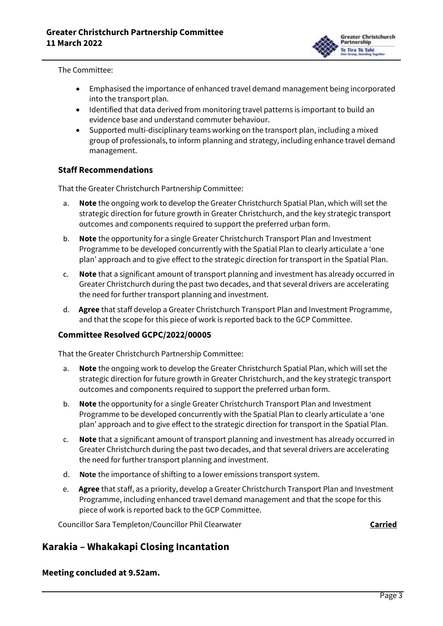

The Committee:

- Emphasised the importance of enhanced travel demand management being incorporated into the transport plan.
- Identified that data derived from monitoring travel patterns is important to build an evidence base and understand commuter behaviour.
- Supported multi-disciplinary teams working on the transport plan, including a mixed group of professionals, to inform planning and strategy, including enhance travel demand management.

#### **Staff Recommendations**

That the Greater Christchurch Partnership Committee:

- a. **Note** the ongoing work to develop the Greater Christchurch Spatial Plan, which will set the strategic direction for future growth in Greater Christchurch, and the key strategic transport outcomes and components required to support the preferred urban form.
- b. **Note** the opportunity for a single Greater Christchurch Transport Plan and Investment Programme to be developed concurrently with the Spatial Plan to clearly articulate a 'one plan' approach and to give effect to the strategic direction for transport in the Spatial Plan.
- c. **Note** that a significant amount of transport planning and investment has already occurred in Greater Christchurch during the past two decades, and that several drivers are accelerating the need for further transport planning and investment.
- d. **Agree** that staff develop a Greater Christchurch Transport Plan and Investment Programme, and that the scope for this piece of work is reported back to the GCP Committee.

#### **Committee Resolved GCPC/2022/00005**

That the Greater Christchurch Partnership Committee:

- a. **Note** the ongoing work to develop the Greater Christchurch Spatial Plan, which will set the strategic direction for future growth in Greater Christchurch, and the key strategic transport outcomes and components required to support the preferred urban form.
- b. **Note** the opportunity for a single Greater Christchurch Transport Plan and Investment Programme to be developed concurrently with the Spatial Plan to clearly articulate a 'one plan' approach and to give effect to the strategic direction for transport in the Spatial Plan.
- c. **Note** that a significant amount of transport planning and investment has already occurred in Greater Christchurch during the past two decades, and that several drivers are accelerating the need for further transport planning and investment.
- d. **Note** the importance of shifting to a lower emissions transport system.
- e. **Agree** that staff, as a priority, develop a Greater Christchurch Transport Plan and Investment Programme, including enhanced travel demand management and that the scope for this piece of work is reported back to the GCP Committee.

Councillor Sara Templeton/Councillor Phil Clearwater **Carried Carried** 

## **Karakia – Whakakapi Closing Incantation**

**Meeting concluded at 9.52am.**